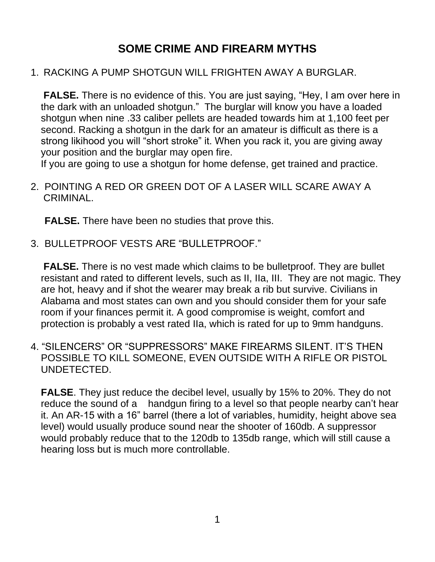# **SOME CRIME AND FIREARM MYTHS**

#### 1. RACKING A PUMP SHOTGUN WILL FRIGHTEN AWAY A BURGLAR.

**FALSE.** There is no evidence of this. You are just saying, "Hey, I am over here in the dark with an unloaded shotgun." The burglar will know you have a loaded shotgun when nine .33 caliber pellets are headed towards him at 1,100 feet per second. Racking a shotgun in the dark for an amateur is difficult as there is a strong likihood you will "short stroke" it. When you rack it, you are giving away your position and the burglar may open fire.

If you are going to use a shotgun for home defense, get trained and practice.

2. POINTING A RED OR GREEN DOT OF A LASER WILL SCARE AWAY A CRIMINAL.

**FALSE.** There have been no studies that prove this.

3. BULLETPROOF VESTS ARE "BULLETPROOF."

**FALSE.** There is no vest made which claims to be bullet proof. They are bullet resistant and rated to different levels, such as II, IIa, III. They are not magic. They are hot, heavy and if shot the wearer may break a rib but survive. Civilians in Alabama and most states can own and you should consider them for your safe room if your finances permit it. A good compromise is weight, comfort and protection is probably a vest rated IIa, which is rated for up to 9mm handguns.

4. "SILENCERS" OR "SUPPRESSORS" MAKE FIREARMS SILENT. IT'S THEN POSSIBLE TO KILL SOMEONE, EVEN OUTSIDE WITH A RIFLE OR PISTOL UNDETECTED.

**FALSE**. They just reduce the decibel level, usually by 15% to 20%. They do not reduce the sound of a handgun firing to a level so that people nearby can't hear it. An AR-15 with a 16" barrel (there a lot of variables, humidity, height above sea level) would usually produce sound near the shooter of 160db. A suppressor would probably reduce that to the 120db to 135db range, which will still cause a hearing loss but is much more controllable.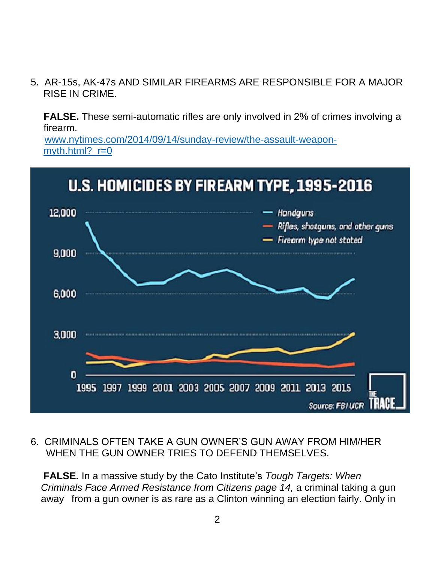5. AR-15s, AK-47s AND SIMILAR FIREARMS ARE RESPONSIBLE FOR A MAJOR RISE IN CRIME.

**FALSE.** These semi-automatic rifles are only involved in 2% of crimes involving a firearm.

 [www.nytimes.com/2014/09/14/sunday-review/the-assault-weapon](http://www.nytimes.com/2014/09/14/sunday-review/the-assault-weapon-%20%20%20%20%20%20myth.html?_r=0)myth.html? $r=0$ 



#### 6. CRIMINALS OFTEN TAKE A GUN OWNER'S GUN AWAY FROM HIM/HER WHEN THE GUN OWNER TRIES TO DEFEND THEMSELVES.

**FALSE.** In a massive study by the Cato Institute's *Tough Targets: When Criminals Face Armed Resistance from Citizens page 14,* a criminal taking a gun away from a gun owner is as rare as a Clinton winning an election fairly. Only in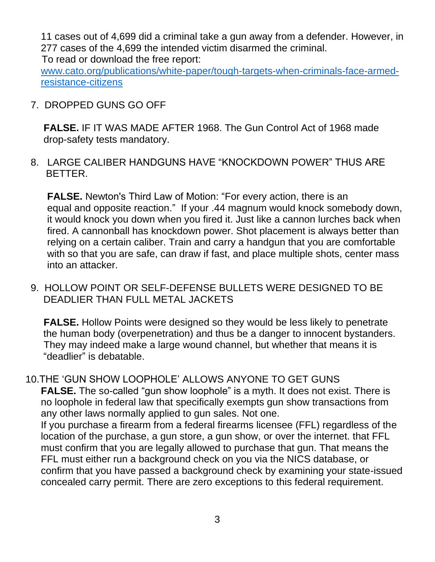11 cases out of 4,699 did a criminal take a gun away from a defender. However, in 277 cases of the 4,699 the intended victim disarmed the criminal. To read or download the free report:

[www.cato.org/publications/white-paper/tough-targets-when-criminals-face-armed](http://www.cato.org/publications/white-paper/tough-targets-when-criminals-face-armed-resistance-citizens)[resistance-citizens](http://www.cato.org/publications/white-paper/tough-targets-when-criminals-face-armed-resistance-citizens)

7. DROPPED GUNS GO OFF

**FALSE.** IF IT WAS MADE AFTER 1968. The Gun Control Act of 1968 made drop-safety tests mandatory.

8.LARGE CALIBER HANDGUNS HAVE "KNOCKDOWN POWER" THUS ARE BETTER.

**FALSE.** Newton's Third Law of Motion: "For every action, there is an equal and opposite reaction." If your .44 magnum would knock somebody down, it would knock you down when you fired it. Just like a cannon lurches back when fired. A cannonball has knockdown power. Shot placement is always better than relying on a certain caliber. Train and carry a handgun that you are comfortable with so that you are safe, can draw if fast, and place multiple shots, center mass into an attacker.

9. HOLLOW POINT OR SELF-DEFENSE BULLETS WERE DESIGNED TO BE DEADLIER THAN FULL METAL JACKETS

**FALSE.** Hollow Points were designed so they would be less likely to penetrate the human body (overpenetration) and thus be a danger to innocent bystanders. They may indeed make a large wound channel, but whether that means it is "deadlier" is debatable.

10.THE 'GUN SHOW LOOPHOLE' ALLOWS ANYONE TO GET GUNS **FALSE.** The so-called "gun show loophole" is a myth. It does not exist. There is no loophole in federal law that specifically exempts gun show transactions from any other laws normally applied to gun sales. Not one.

If you purchase a firearm from a federal firearms licensee (FFL) regardless of the location of the purchase, a gun store, a gun show, or over the internet. that FFL must confirm that you are legally allowed to purchase that gun. That means the FFL must either run a background check on you via the NICS database, or confirm that you have passed a background check by examining your state-issued concealed carry permit. There are zero exceptions to this federal requirement.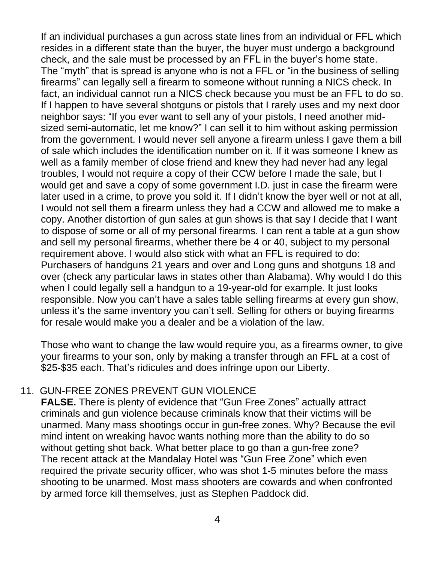If an individual purchases a gun across state lines from an individual or FFL which resides in a different state than the buyer, the buyer must undergo a background check, and the sale must be processed by an FFL in the buyer's home state. The "myth" that is spread is anyone who is not a FFL or "in the business of selling firearms" can legally sell a firearm to someone without running a NICS check. In fact, an individual cannot run a NICS check because you must be an FFL to do so. If I happen to have several shotguns or pistols that I rarely uses and my next door neighbor says: "If you ever want to sell any of your pistols, I need another midsized semi-automatic, let me know?" I can sell it to him without asking permission from the government. I would never sell anyone a firearm unless I gave them a bill of sale which includes the identification number on it. If it was someone I knew as well as a family member of close friend and knew they had never had any legal troubles, I would not require a copy of their CCW before I made the sale, but I would get and save a copy of some government I.D. just in case the firearm were later used in a crime, to prove you sold it. If I didn't know the byer well or not at all, I would not sell them a firearm unless they had a CCW and allowed me to make a copy. Another distortion of gun sales at gun shows is that say I decide that I want to dispose of some or all of my personal firearms. I can rent a table at a gun show and sell my personal firearms, whether there be 4 or 40, subject to my personal requirement above. I would also stick with what an FFL is required to do: Purchasers of handguns 21 years and over and Long guns and shotguns 18 and over (check any particular laws in states other than Alabama). Why would I do this when I could legally sell a handgun to a 19-year-old for example. It just looks responsible. Now you can't have a sales table selling firearms at every gun show, unless it's the same inventory you can't sell. Selling for others or buying firearms for resale would make you a dealer and be a violation of the law.

Those who want to change the law would require you, as a firearms owner, to give your firearms to your son, only by making a transfer through an FFL at a cost of \$25-\$35 each. That's ridicules and does infringe upon our Liberty.

### 11. GUN-FREE ZONES PREVENT GUN VIOLENCE

**FALSE.** There is plenty of evidence that "Gun Free Zones" actually attract criminals and gun violence because criminals know that their victims will be unarmed. Many mass shootings occur in gun-free zones. Why? Because the evil mind intent on wreaking havoc wants nothing more than the ability to do so without getting shot back. What better place to go than a gun-free zone? The recent attack at the Mandalay Hotel was "Gun Free Zone" which even required the private security officer, who was shot 1-5 minutes before the mass shooting to be unarmed. Most mass shooters are cowards and when confronted by armed force kill themselves, just as Stephen Paddock did.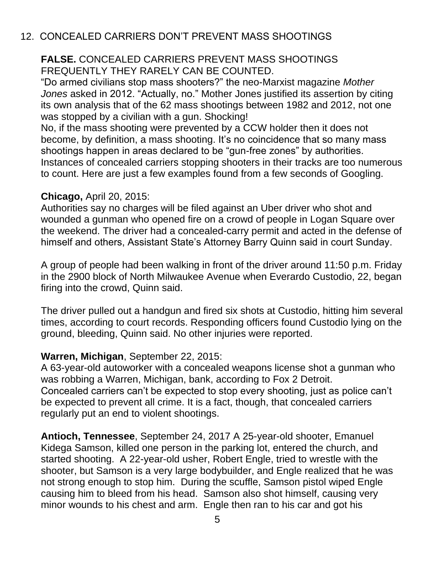### 12. CONCEALED CARRIERS DON'T PREVENT MASS SHOOTINGS

#### **FALSE.** CONCEALED CARRIERS PREVENT MASS SHOOTINGS FREQUENTLY THEY RARELY CAN BE COUNTED.

"Do armed civilians stop mass shooters?" the neo-Marxist magazine *Mother Jones* asked in 2012. "Actually, no." Mother Jones justified its assertion by citing its own analysis that of the 62 mass shootings between 1982 and 2012, not one was stopped by a civilian with a gun. Shocking!

No, if the mass shooting were prevented by a CCW holder then it does not become, by definition, a mass shooting. It's no coincidence that so many mass shootings happen in areas declared to be "gun-free zones" by authorities. Instances of concealed carriers stopping shooters in their tracks are too numerous to count. Here are just a few examples found from a few seconds of Googling.

#### **Chicago,** April 20, 2015:

Authorities say no charges will be filed against an Uber driver who shot and wounded a gunman who opened fire on a crowd of people in Logan Square over the weekend. The driver had a concealed-carry permit and acted in the defense of himself and others, Assistant State's Attorney Barry Quinn said in court Sunday.

A group of people had been walking in front of the driver around 11:50 p.m. Friday in the 2900 block of North Milwaukee Avenue when Everardo Custodio, 22, began firing into the crowd, Quinn said.

The driver pulled out a handgun and fired six shots at Custodio, hitting him several times, according to court records. Responding officers found Custodio lying on the ground, bleeding, Quinn said. No other injuries were reported.

#### **Warren, Michigan**, September 22, 2015:

A 63-year-old autoworker with a concealed weapons license shot a gunman who was robbing a Warren, Michigan, bank, according to Fox 2 Detroit. Concealed carriers can't be expected to stop every shooting, just as police can't be expected to prevent all crime. It is a fact, though, that concealed carriers regularly put an end to violent shootings.

**Antioch, Tennessee**, September 24, 2017 A 25-year-old shooter, Emanuel Kidega Samson, killed one person in the parking lot, entered the church, and started shooting. A 22-year-old usher, Robert Engle, tried to wrestle with the shooter, but Samson is a very large bodybuilder, and Engle realized that he was not strong enough to stop him. During the scuffle, Samson pistol wiped Engle causing him to bleed from his head. Samson also shot himself, causing very minor wounds to his chest and arm. Engle then ran to his car and got his